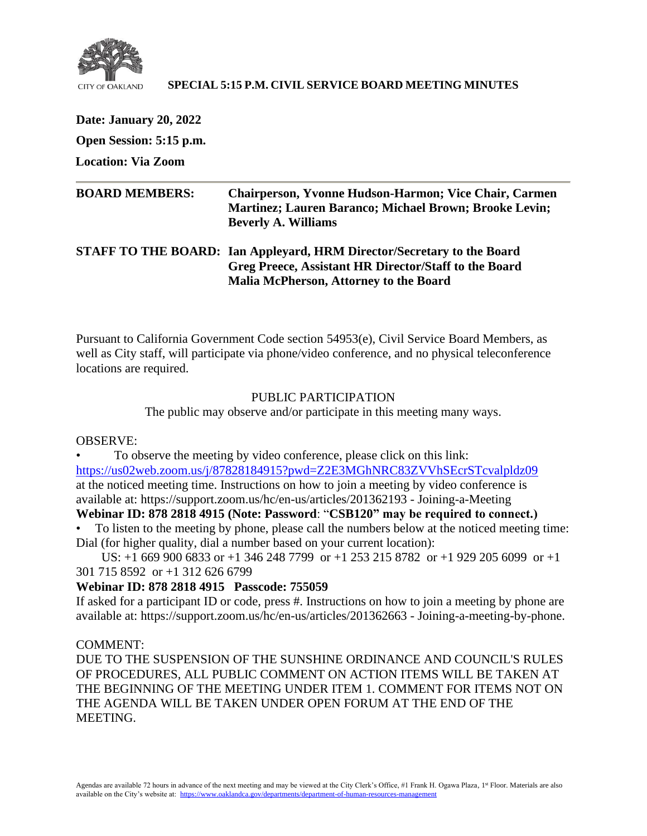

### **SPECIAL 5:15 P.M. CIVIL SERVICE BOARD MEETING MINUTES**

**Date: January 20, 2022 Open Session: 5:15 p.m. Location: Via Zoom**

| <b>BOARD MEMBERS:</b> | <b>Chairperson, Yvonne Hudson-Harmon; Vice Chair, Carmen</b><br><b>Martinez</b> ; Lauren Baranco; Michael Brown; Brooke Levin;<br><b>Beverly A. Williams</b>                     |
|-----------------------|----------------------------------------------------------------------------------------------------------------------------------------------------------------------------------|
|                       | STAFF TO THE BOARD: Ian Appleyard, HRM Director/Secretary to the Board<br>Greg Preece, Assistant HR Director/Staff to the Board<br><b>Malia McPherson, Attorney to the Board</b> |

Pursuant to California Government Code section 54953(e), Civil Service Board Members, as well as City staff, will participate via phone/video conference, and no physical teleconference locations are required.

## PUBLIC PARTICIPATION

The public may observe and/or participate in this meeting many ways.

### OBSERVE:

• To observe the meeting by video conference, please click on this link: <https://us02web.zoom.us/j/87828184915?pwd=Z2E3MGhNRC83ZVVhSEcrSTcvalpldz09> at the noticed meeting time. Instructions on how to join a meeting by video conference is available at: https://support.zoom.us/hc/en-us/articles/201362193 - Joining-a-Meeting

# **Webinar ID: 878 2818 4915 (Note: Password**: "**CSB120" may be required to connect.)**

• To listen to the meeting by phone, please call the numbers below at the noticed meeting time: Dial (for higher quality, dial a number based on your current location):

 US: +1 669 900 6833 or +1 346 248 7799 or +1 253 215 8782 or +1 929 205 6099 or +1 301 715 8592 or +1 312 626 6799

## **Webinar ID: 878 2818 4915 Passcode: 755059**

If asked for a participant ID or code, press #. Instructions on how to join a meeting by phone are available at: https://support.zoom.us/hc/en-us/articles/201362663 - Joining-a-meeting-by-phone.

### COMMENT:

DUE TO THE SUSPENSION OF THE SUNSHINE ORDINANCE AND COUNCIL'S RULES OF PROCEDURES, ALL PUBLIC COMMENT ON ACTION ITEMS WILL BE TAKEN AT THE BEGINNING OF THE MEETING UNDER ITEM 1. COMMENT FOR ITEMS NOT ON THE AGENDA WILL BE TAKEN UNDER OPEN FORUM AT THE END OF THE MEETING.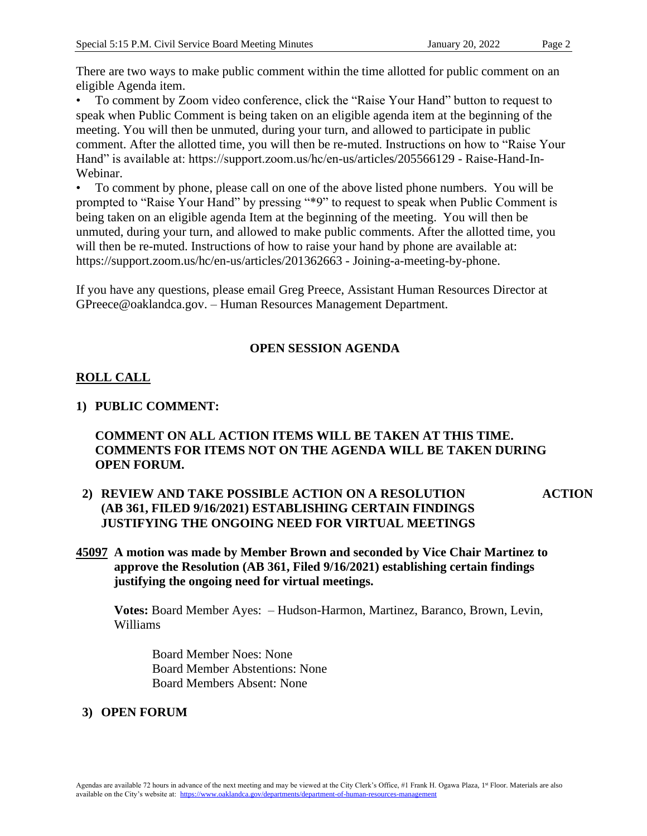• To comment by Zoom video conference, click the "Raise Your Hand" button to request to speak when Public Comment is being taken on an eligible agenda item at the beginning of the meeting. You will then be unmuted, during your turn, and allowed to participate in public comment. After the allotted time, you will then be re-muted. Instructions on how to "Raise Your Hand" is available at: https://support.zoom.us/hc/en-us/articles/205566129 - Raise-Hand-In-Webinar.

• To comment by phone, please call on one of the above listed phone numbers. You will be prompted to "Raise Your Hand" by pressing "\*9" to request to speak when Public Comment is being taken on an eligible agenda Item at the beginning of the meeting. You will then be unmuted, during your turn, and allowed to make public comments. After the allotted time, you will then be re-muted. Instructions of how to raise your hand by phone are available at: https://support.zoom.us/hc/en-us/articles/201362663 - Joining-a-meeting-by-phone.

If you have any questions, please email Greg Preece, Assistant Human Resources Director at GPreece@oaklandca.gov. – Human Resources Management Department.

## **OPEN SESSION AGENDA**

# **ROLL CALL**

## **1) PUBLIC COMMENT:**

## **COMMENT ON ALL ACTION ITEMS WILL BE TAKEN AT THIS TIME. COMMENTS FOR ITEMS NOT ON THE AGENDA WILL BE TAKEN DURING OPEN FORUM.**

- **2) REVIEW AND TAKE POSSIBLE ACTION ON A RESOLUTION (AB 361, FILED 9/16/2021) ESTABLISHING CERTAIN FINDINGS JUSTIFYING THE ONGOING NEED FOR VIRTUAL MEETINGS ACTION**
- **45097 A motion was made by Member Brown and seconded by Vice Chair Martinez to approve the Resolution (AB 361, Filed 9/16/2021) establishing certain findings justifying the ongoing need for virtual meetings.**

**Votes:** Board Member Ayes: – Hudson-Harmon, Martinez, Baranco, Brown, Levin, Williams

Board Member Noes: None Board Member Abstentions: None Board Members Absent: None

## **3) OPEN FORUM**